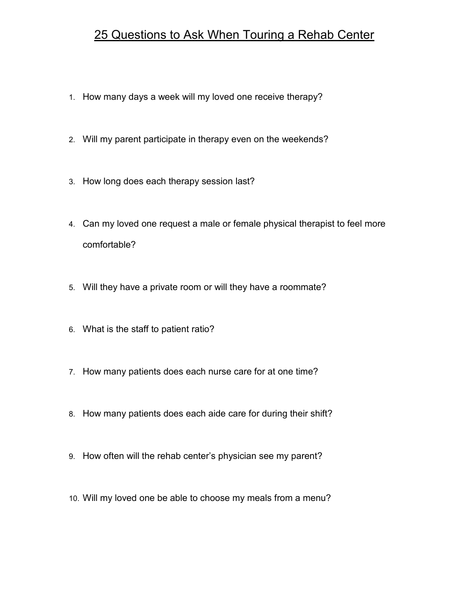## 25 Questions to Ask When Touring a Rehab Center

- 1. How many days a week will my loved one receive therapy?
- 2. Will my parent participate in therapy even on the weekends?
- 3. How long does each therapy session last?
- 4. Can my loved one request a male or female physical therapist to feel more comfortable?
- 5. Will they have a private room or will they have a roommate?
- 6. What is the staff to patient ratio?
- 7. How many patients does each nurse care for at one time?
- 8. How many patients does each aide care for during their shift?
- 9. How often will the rehab center's physician see my parent?
- 10. Will my loved one be able to choose my meals from a menu?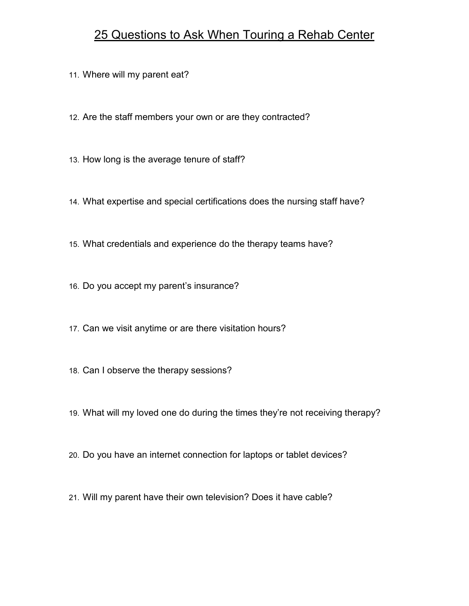## 25 Questions to Ask When Touring a Rehab Center

11. Where will my parent eat?

- 12. Are the staff members your own or are they contracted?
- 13. How long is the average tenure of staff?
- 14. What expertise and special certifications does the nursing staff have?
- 15. What credentials and experience do the therapy teams have?
- 16. Do you accept my parent's insurance?
- 17. Can we visit anytime or are there visitation hours?
- 18. Can I observe the therapy sessions?
- 19. What will my loved one do during the times they're not receiving therapy?
- 20. Do you have an internet connection for laptops or tablet devices?
- 21. Will my parent have their own television? Does it have cable?